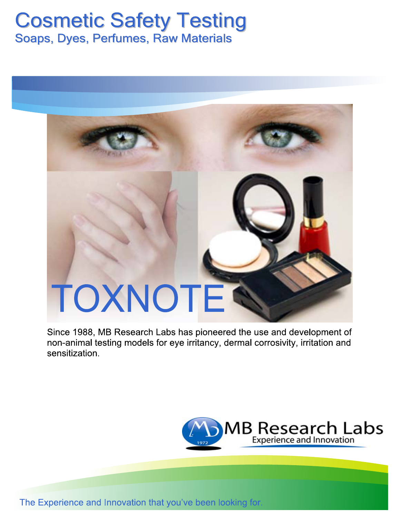# **Cosmetic Safety Testing**

Soaps, Dyes, Perfumes, Raw Materials

# TOXNOTE

Since 1988, MB Research Labs has pioneered the use and development of non-animal testing models for eye irritancy, dermal corrosivity, irritation and sensitization.



The Experience and Innovation that you've been looking for.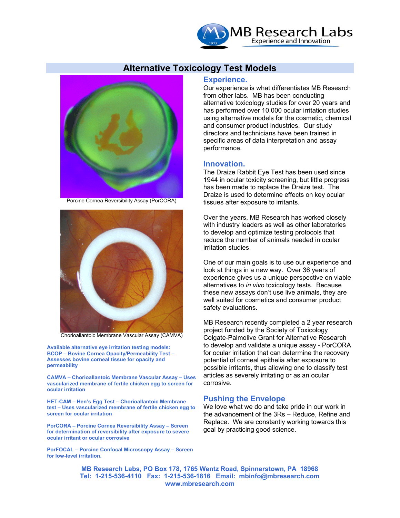

### **Alternative Toxicology Test Models**



Porcine Cornea Reversibility Assay (PorCORA)



Chorioallantoic Membrane Vascular Assay (CAMVA)

**Available alternative eye irritation testing models: BCOP – Bovine Cornea Opacity/Permeability Test – Assesses bovine corneal tissue for opacity and permeability** 

**CAMVA – Chorioallantoic Membrane Vascular Assay – Uses vascularized membrane of fertile chicken egg to screen for ocular irritation** 

**HET-CAM – Hen's Egg Test – Chorioallantoic Membrane test – Uses vascularized membrane of fertile chicken egg to screen for ocular irritation** 

**PorCORA – Porcine Cornea Reversibility Assay – Screen for determination of reversibility after exposure to severe ocular irritant or ocular corrosive** 

**PorFOCAL – Porcine Confocal Microscopy Assay – Screen for low-level irritation.**

#### **Experience.**

Our experience is what differentiates MB Research from other labs. MB has been conducting alternative toxicology studies for over 20 years and has performed over 10,000 ocular irritation studies using alternative models for the cosmetic, chemical and consumer product industries. Our study directors and technicians have been trained in specific areas of data interpretation and assay performance.

#### **Innovation.**

The Draize Rabbit Eye Test has been used since 1944 in ocular toxicity screening, but little progress has been made to replace the Draize test. The Draize is used to determine effects on key ocular tissues after exposure to irritants.

Over the years, MB Research has worked closely with industry leaders as well as other laboratories to develop and optimize testing protocols that reduce the number of animals needed in ocular irritation studies.

One of our main goals is to use our experience and look at things in a new way. Over 36 years of experience gives us a unique perspective on viable alternatives to *in vivo* toxicology tests. Because these new assays don't use live animals, they are well suited for cosmetics and consumer product safety evaluations.

MB Research recently completed a 2 year research project funded by the Society of Toxicology Colgate-Palmolive Grant for Alternative Research to develop and validate a unique assay - PorCORA for ocular irritation that can determine the recovery potential of corneal epithelia after exposure to possible irritants, thus allowing one to classify test articles as severely irritating or as an ocular corrosive.

#### **Pushing the Envelope**

We love what we do and take pride in our work in the advancement of the 3Rs – Reduce, Refine and Replace. We are constantly working towards this goal by practicing good science.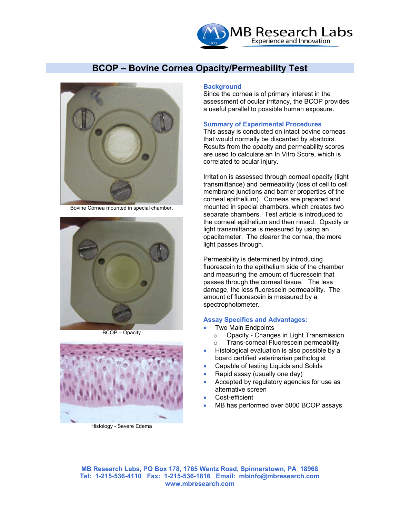

# **BCOP – Bovine Cornea Opacity/Permeability Test**



Bovine Cornea mounted in special chamber.



BCOP – Opacity



Histology - Severe Edema

#### **Background**

Since the cornea is of primary interest in the assessment of ocular irritancy, the BCOP provides a useful parallel to possible human exposure.

#### **Summary of Experimental Procedures**

This assay is conducted on intact bovine corneas that would normally be discarded by abattoirs. Results from the opacity and permeability scores are used to calculate an In Vitro Score, which is correlated to ocular injury.

Irritation is assessed through corneal opacity (light transmittance) and permeability (loss of cell to cell membrane junctions and barrier properties of the corneal epithelium). Corneas are prepared and mounted in special chambers, which creates two separate chambers. Test article is introduced to the corneal epithelium and then rinsed. Opacity or light transmittance is measured by using an opacitometer. The clearer the cornea, the more light passes through.

Permeability is determined by introducing fluorescein to the epithelium side of the chamber and measuring the amount of fluorescein that passes through the corneal tissue. The less damage, the less fluorescein permeability. The amount of fluorescein is measured by a spectrophotometer.

#### **Assay Specifics and Advantages:**

- Two Main Endpoints
	- o Opacity Changes in Light Transmission
	- o Trans-corneal Fluorescein permeability
- Histological evaluation is also possible by a board certified veterinarian pathologist
- Capable of testing Liquids and Solids
- Rapid assay (usually one day)
- Accepted by regulatory agencies for use as alternative screen
- Cost-efficient
- MB has performed over 5000 BCOP assays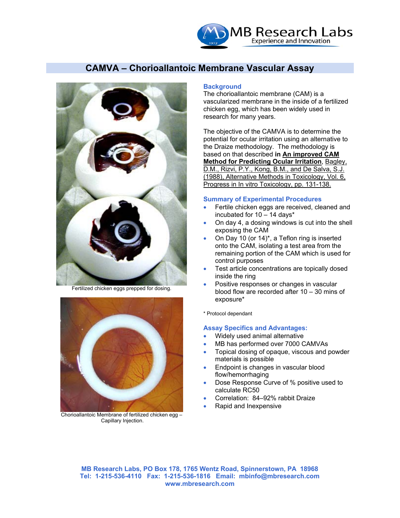

# **CAMVA – Chorioallantoic Membrane Vascular Assay**



Fertilized chicken eggs prepped for dosing.



Chorioallantoic Membrane of fertilized chicken egg – Capillary Injection.

#### **Background**

The chorioallantoic membrane (CAM) is a vascularized membrane in the inside of a fertilized chicken egg, which has been widely used in research for many years.

The objective of the CAMVA is to determine the potential for ocular irritation using an alternative to the Draize methodology. The methodology is based on that described **in An improved CAM Method for Predicting Ocular Irritation**, Bagley, D.M., Rizvi, P.Y., Kong, B.M., and De Salva, S.J. (1988), Alternative Methods in Toxicology, Vol. 6, Progress in In vitro Toxicology, pp. 131-138.

#### **Summary of Experimental Procedures**

- Fertile chicken eggs are received, cleaned and incubated for 10 – 14 days\*
- On day 4, a dosing windows is cut into the shell exposing the CAM
- On Day 10 (or 14)\*, a Teflon ring is inserted onto the CAM, isolating a test area from the remaining portion of the CAM which is used for control purposes
- Test article concentrations are topically dosed inside the ring
- Positive responses or changes in vascular blood flow are recorded after 10 – 30 mins of exposure\*

\* Protocol dependant

#### **Assay Specifics and Advantages:**

- Widely used animal alternative
- MB has performed over 7000 CAMVAs
- Topical dosing of opaque, viscous and powder materials is possible
- Endpoint is changes in vascular blood flow/hemorrhaging
- Dose Response Curve of % positive used to calculate RC50
- Correlation: 84–92% rabbit Draize
- Rapid and Inexpensive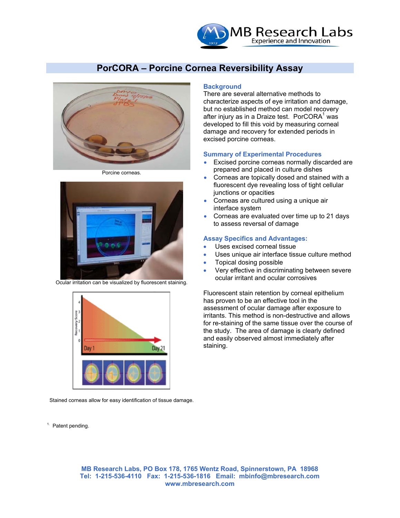

# **PorCORA – Porcine Cornea Reversibility Assay**



Porcine corneas.



Ocular irritation can be visualized by fluorescent staining.



Stained corneas allow for easy identification of tissue damage.

#### **Background**

There are several alternative methods to characterize aspects of eye irritation and damage, but no established method can model recovery after injury as in a Draize test. PorCORA $1$  was developed to fill this void by measuring corneal damage and recovery for extended periods in excised porcine corneas.

#### **Summary of Experimental Procedures**

- Excised porcine corneas normally discarded are prepared and placed in culture dishes
- Corneas are topically dosed and stained with a fluorescent dye revealing loss of tight cellular junctions or opacities
- Corneas are cultured using a unique air interface system
- Corneas are evaluated over time up to 21 days to assess reversal of damage

#### **Assay Specifics and Advantages:**

- Uses excised corneal tissue
- Uses unique air interface tissue culture method
- Topical dosing possible
- Very effective in discriminating between severe ocular irritant and ocular corrosives

Fluorescent stain retention by corneal epithelium has proven to be an effective tool in the assessment of ocular damage after exposure to irritants. This method is non-destructive and allows for re-staining of the same tissue over the course of the study. The area of damage is clearly defined and easily observed almost immediately after staining.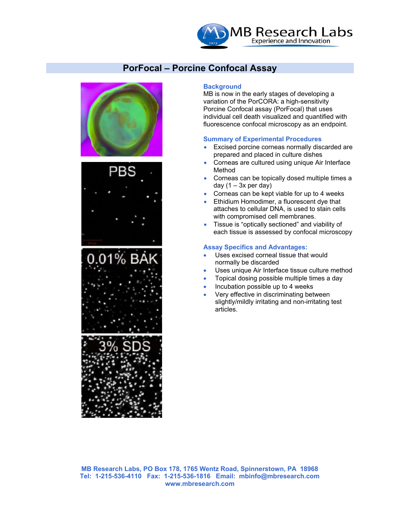

# **PorFocal – Porcine Confocal Assay**









#### **Background**

MB is now in the early stages of developing a variation of the PorCORA: a high-sensitivity Porcine Confocal assay (PorFocal) that uses individual cell death visualized and quantified with fluorescence confocal microscopy as an endpoint.

#### **Summary of Experimental Procedures**

- Excised porcine corneas normally discarded are prepared and placed in culture dishes
- Corneas are cultured using unique Air Interface Method
- Corneas can be topically dosed multiple times a day  $(1 - 3x$  per day)
- Corneas can be kept viable for up to 4 weeks
- Ethidium Homodimer, a fluorescent dye that attaches to cellular DNA, is used to stain cells with compromised cell membranes.
- Tissue is "optically sectioned" and viability of each tissue is assessed by confocal microscopy

#### **Assay Specifics and Advantages:**

- Uses excised corneal tissue that would normally be discarded
- Uses unique Air Interface tissue culture method
- Topical dosing possible multiple times a day
- Incubation possible up to 4 weeks
- Very effective in discriminating between slightly/mildly irritating and non-irritating test articles.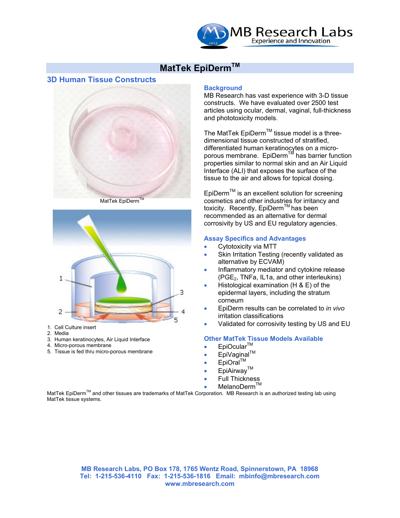

# **MatTek EpiDermTM**

#### **3D Human Tissue Constructs**



MatTek EpiDerm



- 1. Cell Culture insert
- 2. Media
- 3. Human keratinocytes, Air Liquid Interface
- 4. Micro-porous membrane
- 5. Tissue is fed thru micro-porous membrane

#### **Background**

MB Research has vast experience with 3-D tissue constructs. We have evaluated over 2500 test articles using ocular, dermal, vaginal, full-thickness and phototoxicity models.

The MatTek EpiDerm<sup>TM</sup> tissue model is a threedimensional tissue constructed of stratified, differentiated human keratinocytes on a microporous membrane. EpiDerm™ has barrier function properties similar to normal skin and an Air Liquid Interface (ALI) that exposes the surface of the tissue to the air and allows for topical dosing.

EpiDermTM is an excellent solution for screening cosmetics and other industries for irritancy and toxicity. Recently, EpiDerm<sup>TM</sup> has been recommended as an alternative for dermal corrosivity by US and EU regulatory agencies.

#### **Assay Specifics and Advantages**

- Cytotoxicity via MTT
- Skin Irritation Testing (recently validated as alternative by ECVAM)
- Inflammatory mediator and cytokine release (PGE2, TNFa, IL1a, and other interleukins)
- Histological examination (H & E) of the epidermal layers, including the stratum corneum
- EpiDerm results can be correlated to *in vivo* irritation classifications
- Validated for corrosivity testing by US and EU

#### **Other MatTek Tissue Models Available**

- EpiOcular<sup>™</sup>
- EpiVaginal™
- $E$ piOral<sup>TM</sup>
- EpiAirway™
- Full Thickness
- 
- MelanoDerm™

MatTek EpiDermTM and other tissues are trademarks of MatTek Corporation. MB Research is an authorized testing lab using MatTek tissue systems.